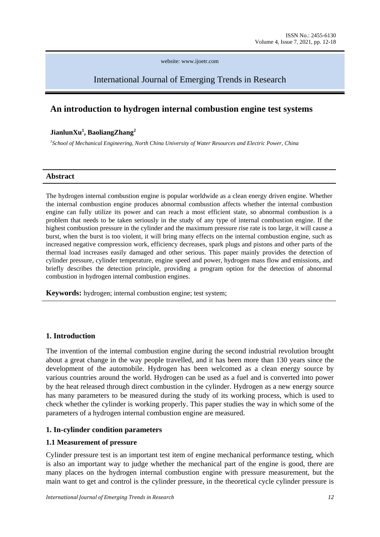website: www.ijoetr.com

# International Journal of Emerging Trends in Research

## **An introduction to hydrogen internal combustion engine test systems**

#### **JianlunXu<sup>1</sup> , BaoliangZhang<sup>2</sup>**

*1 School of Mechanical Engineering, North China University of Water Resources and Electric Power, China*

#### **Abstract**

The hydrogen internal combustion engine is popular worldwide as a clean energy driven engine. Whether the internal combustion engine produces abnormal combustion affects whether the internal combustion engine can fully utilize its power and can reach a most efficient state, so abnormal combustion is a problem that needs to be taken seriously in the study of any type of internal combustion engine. If the highest combustion pressure in the cylinder and the maximum pressure rise rate is too large, it will cause a burst, when the burst is too violent, it will bring many effects on the internal combustion engine, such as increased negative compression work, efficiency decreases, spark plugs and pistons and other parts of the thermal load increases easily damaged and other serious. This paper mainly provides the detection of cylinder pressure, cylinder temperature, engine speed and power, hydrogen mass flow and emissions, and briefly describes the detection principle, providing a program option for the detection of abnormal combustion in hydrogen internal combustion engines.

**Keywords:** hydrogen; internal combustion engine; test system;

## **1. Introduction**

The invention of the internal combustion engine during the second industrial revolution brought about a great change in the way people travelled, and it has been more than 130 years since the development of the automobile. Hydrogen has been welcomed as a clean energy source by various countries around the world. Hydrogen can be used as a fuel and is converted into power by the heat released through direct combustion in the cylinder. Hydrogen as a new energy source has many parameters to be measured during the study of its working process, which is used to check whether the cylinder is working properly. This paper studies the way in which some of the parameters of a hydrogen internal combustion engine are measured.

## **1. In-cylinder condition parameters**

#### **1.1 Measurement of pressure**

Cylinder pressure test is an important test item of engine mechanical performance testing, which is also an important way to judge whether the mechanical part of the engine is good, there are many places on the hydrogen internal combustion engine with pressure measurement, but the main want to get and control is the cylinder pressure, in the theoretical cycle cylinder pressure is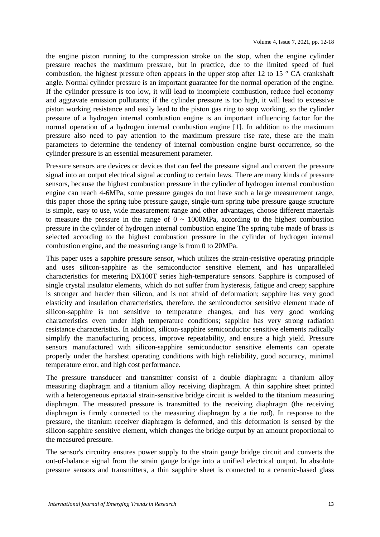the engine piston running to the compression stroke on the stop, when the engine cylinder pressure reaches the maximum pressure, but in practice, due to the limited speed of fuel combustion, the highest pressure often appears in the upper stop after 12 to 15  $\degree$  CA crankshaft angle. Normal cylinder pressure is an important guarantee for the normal operation of the engine. If the cylinder pressure is too low, it will lead to incomplete combustion, reduce fuel economy and aggravate emission pollutants; if the cylinder pressure is too high, it will lead to excessive piston working resistance and easily lead to the piston gas ring to stop working, so the cylinder pressure of a hydrogen internal combustion engine is an important influencing factor for the normal operation of a hydrogen internal combustion engine [1]. In addition to the maximum pressure also need to pay attention to the maximum pressure rise rate, these are the main parameters to determine the tendency of internal combustion engine burst occurrence, so the cylinder pressure is an essential measurement parameter.

Pressure sensors are devices or devices that can feel the pressure signal and convert the pressure signal into an output electrical signal according to certain laws. There are many kinds of pressure sensors, because the highest combustion pressure in the cylinder of hydrogen internal combustion engine can reach 4-6MPa, some pressure gauges do not have such a large measurement range, this paper chose the spring tube pressure gauge, single-turn spring tube pressure gauge structure is simple, easy to use, wide measurement range and other advantages, choose different materials to measure the pressure in the range of  $0 \sim 1000 MPa$ , according to the highest combustion pressure in the cylinder of hydrogen internal combustion engine The spring tube made of brass is selected according to the highest combustion pressure in the cylinder of hydrogen internal combustion engine, and the measuring range is from 0 to 20MPa.

This paper uses a sapphire pressure sensor, which utilizes the strain-resistive operating principle and uses silicon-sapphire as the semiconductor sensitive element, and has unparalleled characteristics for metering DX100T series high-temperature sensors. Sapphire is composed of single crystal insulator elements, which do not suffer from hysteresis, fatigue and creep; sapphire is stronger and harder than silicon, and is not afraid of deformation; sapphire has very good elasticity and insulation characteristics, therefore, the semiconductor sensitive element made of silicon-sapphire is not sensitive to temperature changes, and has very good working characteristics even under high temperature conditions; sapphire has very strong radiation resistance characteristics. In addition, silicon-sapphire semiconductor sensitive elements radically simplify the manufacturing process, improve repeatability, and ensure a high yield. Pressure sensors manufactured with silicon-sapphire semiconductor sensitive elements can operate properly under the harshest operating conditions with high reliability, good accuracy, minimal temperature error, and high cost performance.

The pressure transducer and transmitter consist of a double diaphragm: a titanium alloy measuring diaphragm and a titanium alloy receiving diaphragm. A thin sapphire sheet printed with a heterogeneous epitaxial strain-sensitive bridge circuit is welded to the titanium measuring diaphragm. The measured pressure is transmitted to the receiving diaphragm (the receiving diaphragm is firmly connected to the measuring diaphragm by a tie rod). In response to the pressure, the titanium receiver diaphragm is deformed, and this deformation is sensed by the silicon-sapphire sensitive element, which changes the bridge output by an amount proportional to the measured pressure.

The sensor's circuitry ensures power supply to the strain gauge bridge circuit and converts the out-of-balance signal from the strain gauge bridge into a unified electrical output. In absolute pressure sensors and transmitters, a thin sapphire sheet is connected to a ceramic-based glass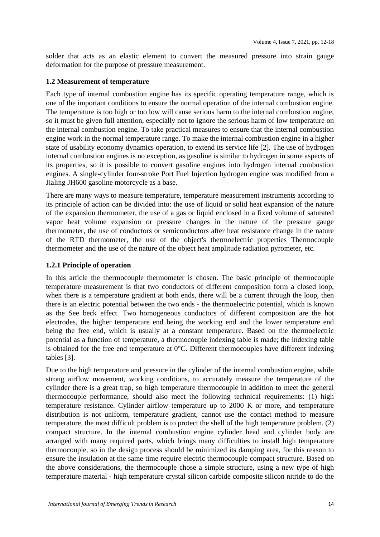solder that acts as an elastic element to convert the measured pressure into strain gauge deformation for the purpose of pressure measurement.

## **1.2 Measurement of temperature**

Each type of internal combustion engine has its specific operating temperature range, which is one of the important conditions to ensure the normal operation of the internal combustion engine. The temperature is too high or too low will cause serious harm to the internal combustion engine, so it must be given full attention, especially not to ignore the serious harm of low temperature on the internal combustion engine. To take practical measures to ensure that the internal combustion engine work in the normal temperature range. To make the internal combustion engine in a higher state of usability economy dynamics operation, to extend its service life [2]. The use of hydrogen internal combustion engines is no exception, as gasoline is similar to hydrogen in some aspects of its properties, so it is possible to convert gasoline engines into hydrogen internal combustion engines. A single-cylinder four-stroke Port Fuel Injection hydrogen engine was modified from a Jialing JH600 gasoline motorcycle as a base.

There are many ways to measure temperature, temperature measurement instruments according to its principle of action can be divided into: the use of liquid or solid heat expansion of the nature of the expansion thermometer, the use of a gas or liquid enclosed in a fixed volume of saturated vapor heat volume expansion or pressure changes in the nature of the pressure gauge thermometer, the use of conductors or semiconductors after heat resistance change in the nature of the RTD thermometer, the use of the object's thermoelectric properties Thermocouple thermometer and the use of the nature of the object heat amplitude radiation pyrometer, etc.

## **1.2.1 Principle of operation**

In this article the thermocouple thermometer is chosen. The basic principle of thermocouple temperature measurement is that two conductors of different composition form a closed loop, when there is a temperature gradient at both ends, there will be a current through the loop, then there is an electric potential between the two ends - the thermoelectric potential, which is known as the See beck effect. Two homogeneous conductors of different composition are the hot electrodes, the higher temperature end being the working end and the lower temperature end being the free end, which is usually at a constant temperature. Based on the thermoelectric potential as a function of temperature, a thermocouple indexing table is made; the indexing table is obtained for the free end temperature at 0°C. Different thermocouples have different indexing tables [3].

Due to the high temperature and pressure in the cylinder of the internal combustion engine, while strong airflow movement, working conditions, to accurately measure the temperature of the cylinder there is a great trap, so high temperature thermocouple in addition to meet the general thermocouple performance, should also meet the following technical requirements: (1) high temperature resistance. Cylinder airflow temperature up to 2000 K or more, and temperature distribution is not uniform, temperature gradient, cannot use the contact method to measure temperature, the most difficult problem is to protect the shell of the high temperature problem. (2) compact structure. In the internal combustion engine cylinder head and cylinder body are arranged with many required parts, which brings many difficulties to install high temperature thermocouple, so in the design process should be minimized its damping area, for this reason to ensure the insulation at the same time require electric thermocouple compact structure. Based on the above considerations, the thermocouple chose a simple structure, using a new type of high temperature material - high temperature crystal silicon carbide composite silicon nitride to do the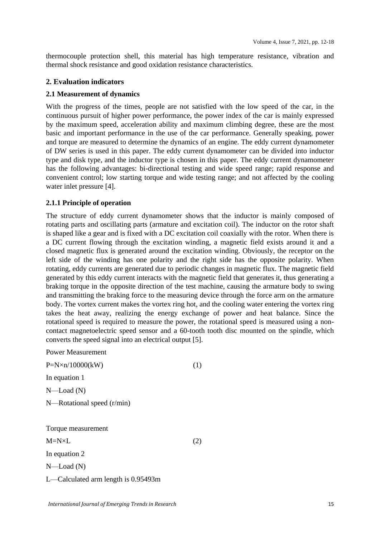thermocouple protection shell, this material has high temperature resistance, vibration and thermal shock resistance and good oxidation resistance characteristics.

## **2. Evaluation indicators**

## **2.1 Measurement of dynamics**

With the progress of the times, people are not satisfied with the low speed of the car, in the continuous pursuit of higher power performance, the power index of the car is mainly expressed by the maximum speed, acceleration ability and maximum climbing degree, these are the most basic and important performance in the use of the car performance. Generally speaking, power and torque are measured to determine the dynamics of an engine. The eddy current dynamometer of DW series is used in this paper. The eddy current dynamometer can be divided into inductor type and disk type, and the inductor type is chosen in this paper. The eddy current dynamometer has the following advantages: bi-directional testing and wide speed range; rapid response and convenient control; low starting torque and wide testing range; and not affected by the cooling water inlet pressure [4].

## **2.1.1 Principle of operation**

The structure of eddy current dynamometer shows that the inductor is mainly composed of rotating parts and oscillating parts (armature and excitation coil). The inductor on the rotor shaft is shaped like a gear and is fixed with a DC excitation coil coaxially with the rotor. When there is a DC current flowing through the excitation winding, a magnetic field exists around it and a closed magnetic flux is generated around the excitation winding. Obviously, the receptor on the left side of the winding has one polarity and the right side has the opposite polarity. When rotating, eddy currents are generated due to periodic changes in magnetic flux. The magnetic field generated by this eddy current interacts with the magnetic field that generates it, thus generating a braking torque in the opposite direction of the test machine, causing the armature body to swing and transmitting the braking force to the measuring device through the force arm on the armature body. The vortex current makes the vortex ring hot, and the cooling water entering the vortex ring takes the heat away, realizing the energy exchange of power and heat balance. Since the rotational speed is required to measure the power, the rotational speed is measured using a noncontact magnetoelectric speed sensor and a 60-tooth tooth disc mounted on the spindle, which converts the speed signal into an electrical output [5].

Power Measurement  $P=N\times n/10000(kW)$  (1) In equation 1 N—Load (N) N—Rotational speed (r/min) Torque measurement

 $M=N\times L$  (2)

In equation 2

N—Load (N)

L—Calculated arm length is 0.95493m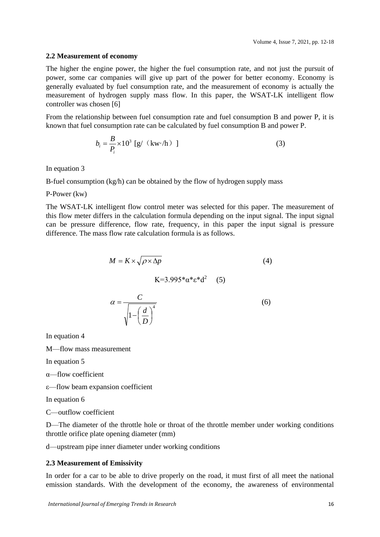#### **2.2 Measurement of economy**

The higher the engine power, the higher the fuel consumption rate, and not just the pursuit of power, some car companies will give up part of the power for better economy. Economy is generally evaluated by fuel consumption rate, and the measurement of economy is actually the measurement of hydrogen supply mass flow. In this paper, the WSAT-LK intelligent flow controller was chosen [6]

From the relationship between fuel consumption rate and fuel consumption B and power P, it is known that fuel consumption rate can be calculated by fuel consumption B and power P.

$$
b_i = \frac{B}{P_i} \times 10^3 \text{ [g/ (kw/h) ]}
$$
 (3)

In equation 3

B-fuel consumption (kg/h) can be obtained by the flow of hydrogen supply mass

#### P-Power (kw)

The WSAT-LK intelligent flow control meter was selected for this paper. The measurement of this flow meter differs in the calculation formula depending on the input signal. The input signal can be pressure difference, flow rate, frequency, in this paper the input signal is pressure difference. The mass flow rate calculation formula is as follows.

$$
M = K \times \sqrt{\rho \times \Delta p}
$$
(4)  

$$
K=3.995 \times \alpha \times \alpha^{2}
$$
(5)  

$$
\alpha = \frac{C}{\sqrt{1 - \left(\frac{d}{D}\right)^{4}}}
$$
(6)

In equation 4

M—flow mass measurement

In equation 5

α—flow coefficient

ε—flow beam expansion coefficient

In equation 6

C—outflow coefficient

D—The diameter of the throttle hole or throat of the throttle member under working conditions throttle orifice plate opening diameter (mm)

d—upstream pipe inner diameter under working conditions

## **2.3 Measurement of Emissivity**

In order for a car to be able to drive properly on the road, it must first of all meet the national emission standards. With the development of the economy, the awareness of environmental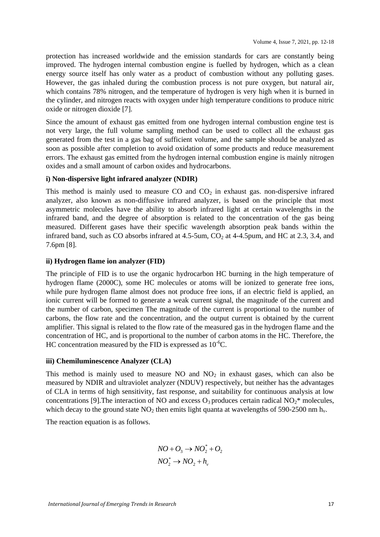protection has increased worldwide and the emission standards for cars are constantly being improved. The hydrogen internal combustion engine is fuelled by hydrogen, which as a clean energy source itself has only water as a product of combustion without any polluting gases. However, the gas inhaled during the combustion process is not pure oxygen, but natural air, which contains 78% nitrogen, and the temperature of hydrogen is very high when it is burned in the cylinder, and nitrogen reacts with oxygen under high temperature conditions to produce nitric oxide or nitrogen dioxide [7].

Since the amount of exhaust gas emitted from one hydrogen internal combustion engine test is not very large, the full volume sampling method can be used to collect all the exhaust gas generated from the test in a gas bag of sufficient volume, and the sample should be analyzed as soon as possible after completion to avoid oxidation of some products and reduce measurement errors. The exhaust gas emitted from the hydrogen internal combustion engine is mainly nitrogen oxides and a small amount of carbon oxides and hydrocarbons.

## **i) Non-dispersive light infrared analyzer (NDIR)**

This method is mainly used to measure  $CO$  and  $CO<sub>2</sub>$  in exhaust gas. non-dispersive infrared analyzer, also known as non-diffusive infrared analyzer, is based on the principle that most asymmetric molecules have the ability to absorb infrared light at certain wavelengths in the infrared band, and the degree of absorption is related to the concentration of the gas being measured. Different gases have their specific wavelength absorption peak bands within the infrared band, such as CO absorbs infrared at  $4.5$ -5um,  $CO<sub>2</sub>$  at  $4$ -4.5pum, and HC at 2.3, 3.4, and 7.6pm [8].

## **ii) Hydrogen flame ion analyzer (FID)**

The principle of FID is to use the organic hydrocarbon HC burning in the high temperature of hydrogen flame (2000C), some HC molecules or atoms will be ionized to generate free ions, while pure hydrogen flame almost does not produce free ions, if an electric field is applied, an ionic current will be formed to generate a weak current signal, the magnitude of the current and the number of carbon, specimen The magnitude of the current is proportional to the number of carbons, the flow rate and the concentration, and the output current is obtained by the current amplifier. This signal is related to the flow rate of the measured gas in the hydrogen flame and the concentration of HC, and is proportional to the number of carbon atoms in the HC. Therefore, the HC concentration measured by the FID is expressed as  $10^{-6}$ C.

## **iii) Chemiluminescence Analyzer (CLA)**

This method is mainly used to measure NO and  $NO<sub>2</sub>$  in exhaust gases, which can also be measured by NDIR and ultraviolet analyzer (NDUV) respectively, but neither has the advantages of CLA in terms of high sensitivity, fast response, and suitability for continuous analysis at low concentrations [9]. The interaction of NO and excess  $O_3$  produces certain radical NO<sub>2</sub>\* molecules, which decay to the ground state  $NO<sub>2</sub>$  then emits light quanta at wavelengths of 590-2500 nm h<sub>v</sub>.

The reaction equation is as follows.

$$
NO + O_3 \rightarrow NO_2^* + O_2
$$
  

$$
NO_2^* \rightarrow NO_2 + h_v
$$